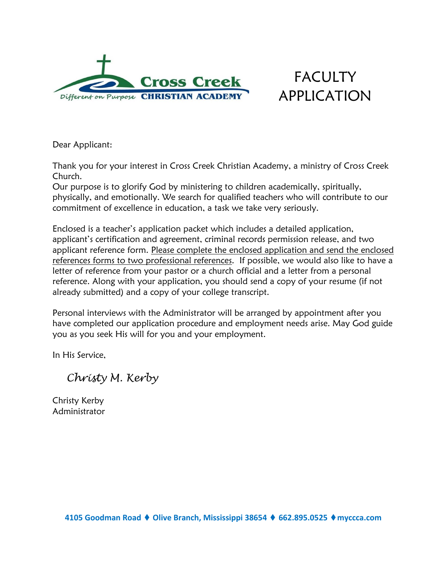

# FACULTY APPLICATION

Dear Applicant:

Thank you for your interest in Cross Creek Christian Academy, a ministry of Cross Creek Church.

Our purpose is to glorify God by ministering to children academically, spiritually, physically, and emotionally. We search for qualified teachers who will contribute to our commitment of excellence in education, a task we take very seriously.

Enclosed is a teacher's application packet which includes a detailed application, applicant's certification and agreement, criminal records permission release, and two applicant reference form. Please complete the enclosed application and send the enclosed references forms to two professional references. If possible, we would also like to have a letter of reference from your pastor or a church official and a letter from a personal reference. Along with your application, you should send a copy of your resume (if not already submitted) and a copy of your college transcript.

Personal interviews with the Administrator will be arranged by appointment after you have completed our application procedure and employment needs arise. May God guide you as you seek His will for you and your employment.

In His Service,

 *Christy M. Kerby*

Christy Kerby Administrator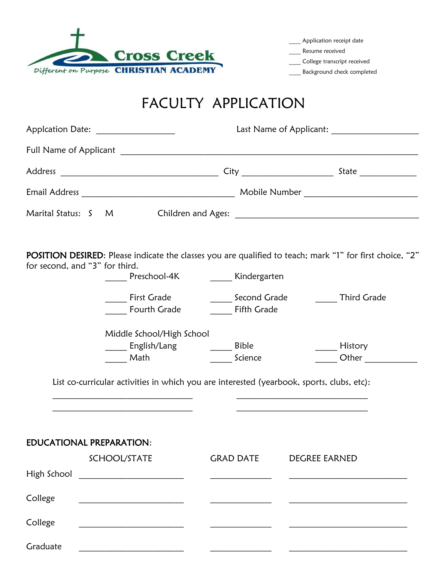

Application receipt date

Resume received

College transcript received

\_\_\_\_ Background check completed

# FACULTY APPLICATION

| Applcation Date: ____________________ |                                                                                                                                                                      |                    |                                                                                                                                      |  |  |
|---------------------------------------|----------------------------------------------------------------------------------------------------------------------------------------------------------------------|--------------------|--------------------------------------------------------------------------------------------------------------------------------------|--|--|
|                                       |                                                                                                                                                                      |                    |                                                                                                                                      |  |  |
|                                       |                                                                                                                                                                      |                    |                                                                                                                                      |  |  |
|                                       |                                                                                                                                                                      |                    |                                                                                                                                      |  |  |
| Marital Status: S M                   |                                                                                                                                                                      |                    |                                                                                                                                      |  |  |
| for second, and "3" for third.        | _____ Preschool-4K _______ Kindergarten<br><b>First Grade</b><br><b>Fourth Grade</b>                                                                                 | <b>Fifth Grade</b> | POSITION DESIRED: Please indicate the classes you are qualified to teach; mark "1" for first choice, "2"<br>Second Grade Third Grade |  |  |
|                                       | Middle School/High School<br>_____ English/Lang     _____ Bible<br>Math<br>List co-curricular activities in which you are interested (yearbook, sports, clubs, etc): | Science            | History<br>Other                                                                                                                     |  |  |
|                                       | the control of the control of the control of the control of the control of the control of                                                                            |                    |                                                                                                                                      |  |  |
| <b>EDUCATIONAL PREPARATION:</b>       | SCHOOL/STATE                                                                                                                                                         | <b>GRAD DATE</b>   | <b>DEGREE EARNED</b>                                                                                                                 |  |  |
|                                       | High School ________________________                                                                                                                                 |                    |                                                                                                                                      |  |  |
| College                               |                                                                                                                                                                      |                    |                                                                                                                                      |  |  |
| College                               |                                                                                                                                                                      |                    |                                                                                                                                      |  |  |
| Graduate                              |                                                                                                                                                                      |                    |                                                                                                                                      |  |  |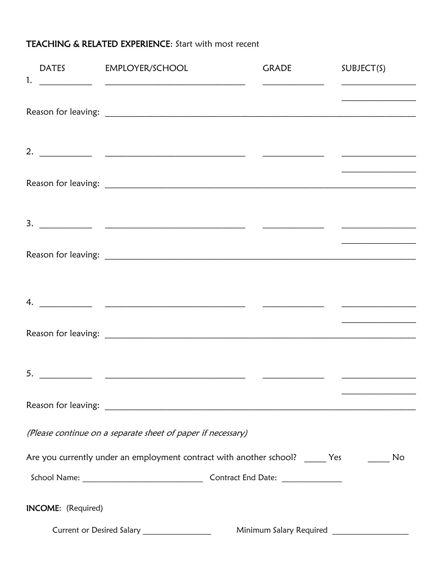## TEACHING & RELATED EXPERIENCE: Start with most recent

| 1.                        | DATES EMPLOYER/SCHOOL                                                                                          | <b>GRADE</b> | SUBJECT(S)                                                                                                           |
|---------------------------|----------------------------------------------------------------------------------------------------------------|--------------|----------------------------------------------------------------------------------------------------------------------|
|                           |                                                                                                                |              |                                                                                                                      |
|                           |                                                                                                                |              |                                                                                                                      |
|                           |                                                                                                                |              |                                                                                                                      |
|                           |                                                                                                                |              |                                                                                                                      |
|                           |                                                                                                                |              |                                                                                                                      |
|                           |                                                                                                                |              |                                                                                                                      |
|                           |                                                                                                                |              | <u> 1989 - Johann John Harrison, mars and de la partie de la partie de la partie de la partie de la partie de la</u> |
|                           |                                                                                                                |              |                                                                                                                      |
|                           |                                                                                                                |              |                                                                                                                      |
|                           |                                                                                                                |              |                                                                                                                      |
|                           |                                                                                                                |              |                                                                                                                      |
|                           | Reason for leaving: New York and Separate and Separate and Separate and Separate and Separate and Separate and |              |                                                                                                                      |
|                           | (Please continue on a separate sheet of paper if necessary)                                                    |              |                                                                                                                      |
|                           | Are you currently under an employment contract with another school? ______ Yes                                 |              | No                                                                                                                   |
|                           |                                                                                                                |              |                                                                                                                      |
| <b>INCOME:</b> (Required) |                                                                                                                |              |                                                                                                                      |
|                           | Current or Desired Salary __________________                                                                   |              | Minimum Salary Required _____________________                                                                        |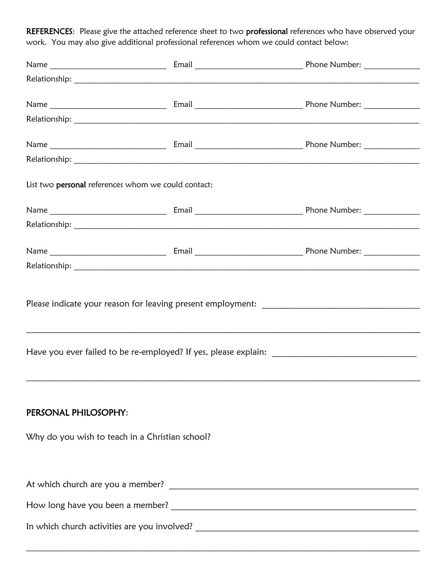REFERENCES: Please give the attached reference sheet to two professional references who have observed your work. You may also give additional professional references whom we could contact below:

| List two personal references whom we could contact:                     |                                                                                                                       |
|-------------------------------------------------------------------------|-----------------------------------------------------------------------------------------------------------------------|
|                                                                         |                                                                                                                       |
|                                                                         |                                                                                                                       |
|                                                                         |                                                                                                                       |
|                                                                         |                                                                                                                       |
|                                                                         | <u> 1989 - Andrea San Andrea Andrea Andrea Andrea Andrea Andrea Andrea Andrea Andrea Andrea Andrea Andrea Andrea </u> |
| PERSONAL PHILOSOPHY:<br>Why do you wish to teach in a Christian school? |                                                                                                                       |
|                                                                         |                                                                                                                       |
|                                                                         |                                                                                                                       |

 $\mathcal{L}_\mathcal{L} = \{ \mathcal{L}_\mathcal{L} = \{ \mathcal{L}_\mathcal{L} = \{ \mathcal{L}_\mathcal{L} = \{ \mathcal{L}_\mathcal{L} = \{ \mathcal{L}_\mathcal{L} = \{ \mathcal{L}_\mathcal{L} = \{ \mathcal{L}_\mathcal{L} = \{ \mathcal{L}_\mathcal{L} = \{ \mathcal{L}_\mathcal{L} = \{ \mathcal{L}_\mathcal{L} = \{ \mathcal{L}_\mathcal{L} = \{ \mathcal{L}_\mathcal{L} = \{ \mathcal{L}_\mathcal{L} = \{ \mathcal{L}_\mathcal{$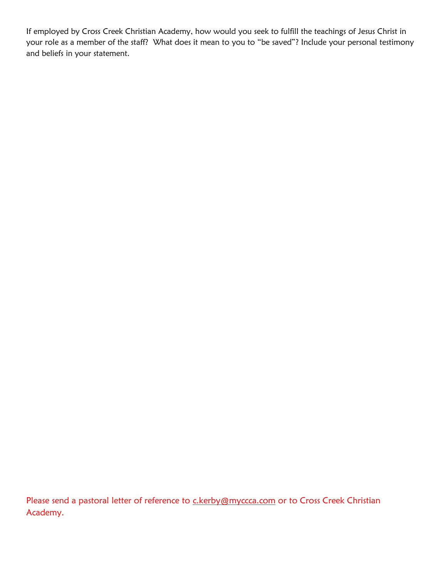If employed by Cross Creek Christian Academy, how would you seek to fulfill the teachings of Jesus Christ in your role as a member of the staff? What does it mean to you to "be saved"? Include your personal testimony and beliefs in your statement.

Please send a pastoral letter of reference to **c.kerby@myccca.com** or to Cross Creek Christian Academy.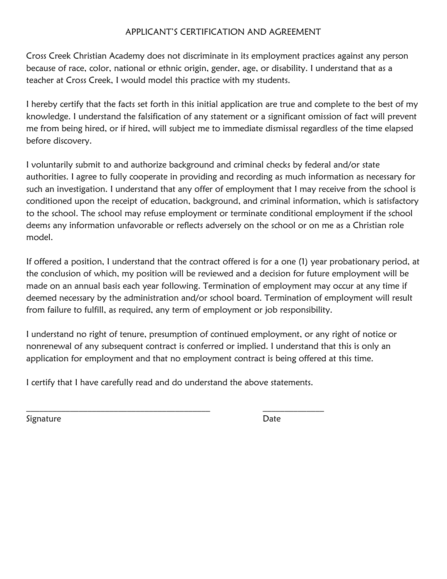#### APPLICANT'S CERTIFICATION AND AGREEMENT

Cross Creek Christian Academy does not discriminate in its employment practices against any person because of race, color, national or ethnic origin, gender, age, or disability. I understand that as a teacher at Cross Creek, I would model this practice with my students.

I hereby certify that the facts set forth in this initial application are true and complete to the best of my knowledge. I understand the falsification of any statement or a significant omission of fact will prevent me from being hired, or if hired, will subject me to immediate dismissal regardless of the time elapsed before discovery.

I voluntarily submit to and authorize background and criminal checks by federal and/or state authorities. I agree to fully cooperate in providing and recording as much information as necessary for such an investigation. I understand that any offer of employment that I may receive from the school is conditioned upon the receipt of education, background, and criminal information, which is satisfactory to the school. The school may refuse employment or terminate conditional employment if the school deems any information unfavorable or reflects adversely on the school or on me as a Christian role model.

If offered a position, I understand that the contract offered is for a one (1) year probationary period, at the conclusion of which, my position will be reviewed and a decision for future employment will be made on an annual basis each year following. Termination of employment may occur at any time if deemed necessary by the administration and/or school board. Termination of employment will result from failure to fulfill, as required, any term of employment or job responsibility.

I understand no right of tenure, presumption of continued employment, or any right of notice or nonrenewal of any subsequent contract is conferred or implied. I understand that this is only an application for employment and that no employment contract is being offered at this time.

I certify that I have carefully read and do understand the above statements.

\_\_\_\_\_\_\_\_\_\_\_\_\_\_\_\_\_\_\_\_\_\_\_\_\_\_\_\_\_\_\_\_\_\_\_\_\_\_\_\_\_\_ \_\_\_\_\_\_\_\_\_\_\_\_\_\_

Signature **Date**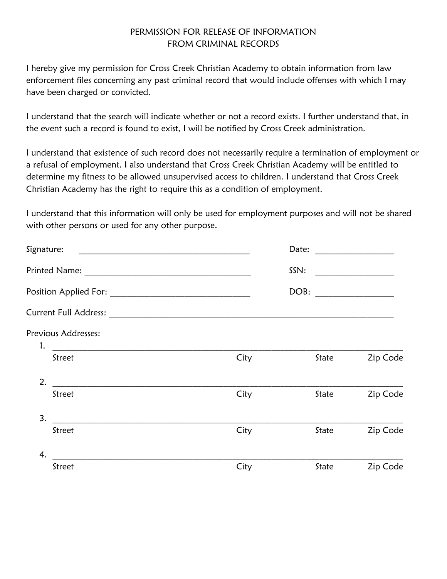#### PERMISSION FOR RELEASE OF INFORMATION FROM CRIMINAL RECORDS

I hereby give my permission for Cross Creek Christian Academy to obtain information from law enforcement files concerning any past criminal record that would include offenses with which I may have been charged or convicted.

I understand that the search will indicate whether or not a record exists. I further understand that, in the event such a record is found to exist, I will be notified by Cross Creek administration.

I understand that existence of such record does not necessarily require a termination of employment or a refusal of employment. I also understand that Cross Creek Christian Academy will be entitled to determine my fitness to be allowed unsupervised access to children. I understand that Cross Creek Christian Academy has the right to require this as a condition of employment.

I understand that this information will only be used for employment purposes and will not be shared with other persons or used for any other purpose.

| Signature: | <u> 1980 - Jan James James Barnett, fransk politik (d. 1980)</u> |      | Date: | <u> 1980 - Jan Barbarat, manala</u>                                                                                  |
|------------|------------------------------------------------------------------|------|-------|----------------------------------------------------------------------------------------------------------------------|
|            |                                                                  |      | SSN:  | <u> 1980 - Jan Barbara Barat, prima populație de la provincia de la provincia de la provincia de la provincia de</u> |
|            |                                                                  |      | DOB:  |                                                                                                                      |
|            |                                                                  |      |       |                                                                                                                      |
| 1.         | Previous Addresses:<br><u> 1980 - Johann Barbara, martin a</u>   |      |       |                                                                                                                      |
|            | Street                                                           | City | State | Zip Code                                                                                                             |
| 2.         |                                                                  |      |       |                                                                                                                      |
|            | Street                                                           | City | State | Zip Code                                                                                                             |
| 3.         |                                                                  |      |       |                                                                                                                      |
|            | Street                                                           | City | State | Zip Code                                                                                                             |
| 4.         |                                                                  |      |       |                                                                                                                      |
|            | Street                                                           | City | State | Zip Code                                                                                                             |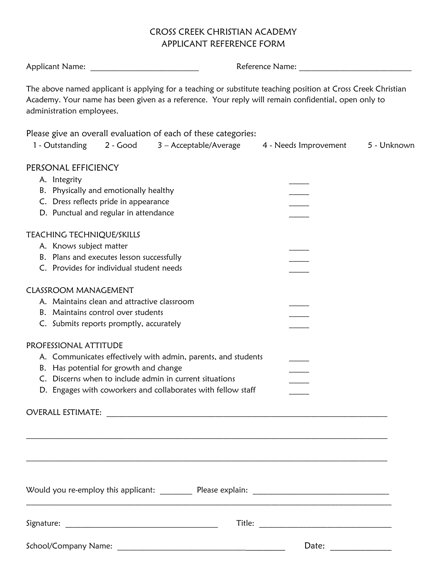#### CROSS CREEK CHRISTIAN ACADEMY APPLICANT REFERENCE FORM

| Applicant Name:                                                                                                                                                                                                                                   | Reference Name: Names |             |  |  |
|---------------------------------------------------------------------------------------------------------------------------------------------------------------------------------------------------------------------------------------------------|-----------------------|-------------|--|--|
| The above named applicant is applying for a teaching or substitute teaching position at Cross Creek Christian<br>Academy. Your name has been given as a reference. Your reply will remain confidential, open only to<br>administration employees. |                       |             |  |  |
| Please give an overall evaluation of each of these categories:<br>1 - Outstanding<br>2 - Good<br>3 – Acceptable/Average                                                                                                                           | 4 - Needs Improvement | 5 - Unknown |  |  |
| PERSONAL EFFICIENCY<br>A. Integrity                                                                                                                                                                                                               |                       |             |  |  |
| B. Physically and emotionally healthy                                                                                                                                                                                                             |                       |             |  |  |
| C. Dress reflects pride in appearance                                                                                                                                                                                                             |                       |             |  |  |
| D. Punctual and regular in attendance                                                                                                                                                                                                             |                       |             |  |  |
| TEACHING TECHNIQUE/SKILLS                                                                                                                                                                                                                         |                       |             |  |  |
| A. Knows subject matter                                                                                                                                                                                                                           |                       |             |  |  |
| B. Plans and executes lesson successfully                                                                                                                                                                                                         |                       |             |  |  |
| C. Provides for individual student needs                                                                                                                                                                                                          |                       |             |  |  |
| <b>CLASSROOM MANAGEMENT</b>                                                                                                                                                                                                                       |                       |             |  |  |
| A. Maintains clean and attractive classroom                                                                                                                                                                                                       |                       |             |  |  |
| B. Maintains control over students                                                                                                                                                                                                                |                       |             |  |  |
| C. Submits reports promptly, accurately                                                                                                                                                                                                           |                       |             |  |  |
| PROFESSIONAL ATTITUDE                                                                                                                                                                                                                             |                       |             |  |  |
| A. Communicates effectively with admin, parents, and students                                                                                                                                                                                     |                       |             |  |  |
| B. Has potential for growth and change                                                                                                                                                                                                            |                       |             |  |  |
| C. Discerns when to include admin in current situations                                                                                                                                                                                           |                       |             |  |  |
| D. Engages with coworkers and collaborates with fellow staff                                                                                                                                                                                      |                       |             |  |  |
|                                                                                                                                                                                                                                                   |                       |             |  |  |
|                                                                                                                                                                                                                                                   |                       |             |  |  |
|                                                                                                                                                                                                                                                   |                       |             |  |  |
|                                                                                                                                                                                                                                                   |                       |             |  |  |
|                                                                                                                                                                                                                                                   |                       |             |  |  |
|                                                                                                                                                                                                                                                   |                       |             |  |  |
|                                                                                                                                                                                                                                                   |                       |             |  |  |